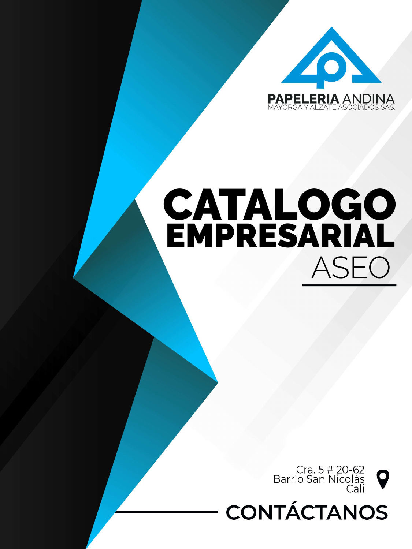

## CATALOGO ASEO



## **CONTÁCTANOS**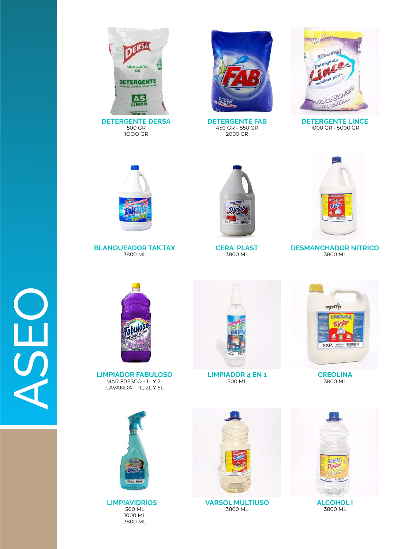



**DETERGENTE FAB** 450 GR - 850 GR 2000 GR



**DETERGENTE LINCE** 1000 GR - 5000 GR



**BLANQUEADOR TAK.TAX** 3800 ML



**CERA PLAST** 3800 ML



**DESMANCHADOR NITRICO** 3800 ML



**LIMPIADOR FABULOSO** MAR FRESCO - 1L Y 2L LAVANDA - 1L, 2L Y 5L

ASEO



**LIMPIAVIDRIOS** 500 ML 1000 ML 3800 ML



**LIMPIADOR 4 EN 1** 500 ML



**CREOLINA** 3800 ML



**VARSOL MULTIUSO** 3800 ML



3800 ML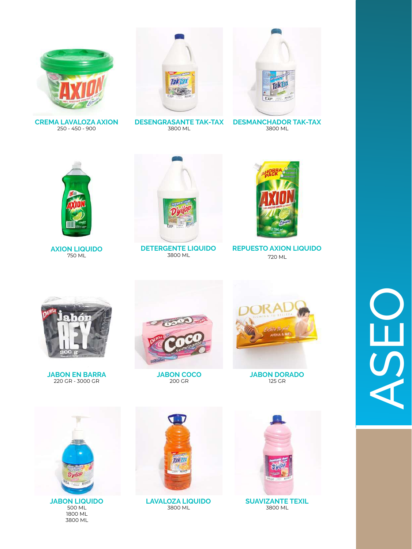







**DESENGRASANTE TAK-TAX** 3800 ML

**DESMANCHADOR TAK-TAX** 3800 ML



**AXION LIQUIDO** 750 ML



**DETERGENTE LIQUIDO** 3800 ML



**REPUESTO AXION LIQUIDO** 720 ML



**JABON EN BARRA** 220 GR - 3000 GR



**JABON COCO** 200 GR



**JABON DORADO** 125 GR



500 ML 1800 ML 3800 ML



**LAVALOZA LIQUIDO** 3800 ML



**SUAVIZANTE TEXIL** 3800 ML

## $\overline{\mathbf{b}}$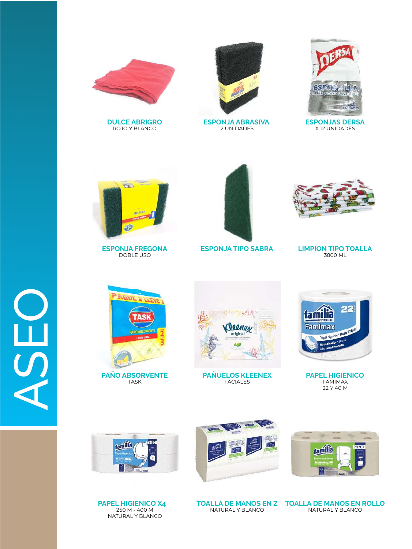

**DULCE ABRIGRO** ROJO Y BLANCO



**ESPONJA ABRASIVA**  2 UNIDADES



**ESPONJAS DERSA** X 12 UNIDADES



**ESPONJA FREGONA** DOBLE USO







**T** 

**PAÑO ABSORVENTE** TASK



**PAÑUELOS KLEENEX** FACIALES



**PAPEL HIGIENICO** FAMIMAX 22 Y 40 M









NATURAL Y BLANCO

**TOALLA DE MANOS EN Z TOALLA DE MANOS EN ROLLO** NATURAL Y BLANCO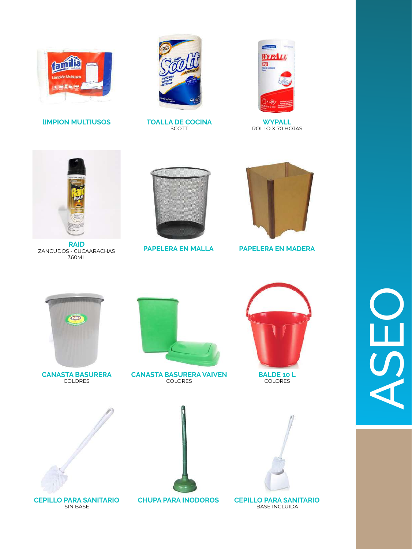

**IIMPION MULTIUSOS** 



**TOALLA DE COCINA** 

SCOTT



**WYPALL** ROLLO X 70 HOJAS







**PAPELERA EN MALLA** 



**PAPELERA EN MADERA** 



**CANASTA BASURERA COLORES** 



**CANASTA BASURERA VAIVEN COLORES** 



**BALDE 10 L COLORES** 

J)







**CEPILLO PARA SANITARIO** SIN BASE

**CHUPA PARA INODOROS** 

**BASE INCLUIDA**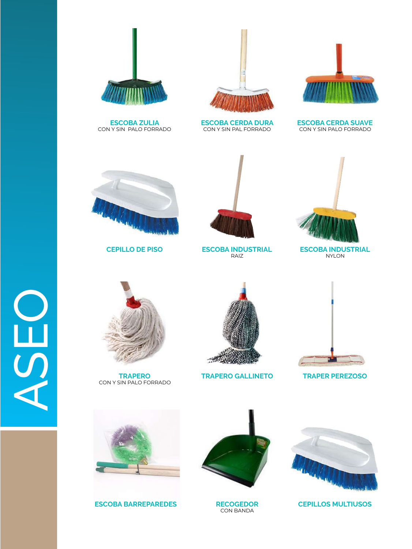

**ESCOBA ZULIA** CON Y SIN PALO FORRADO





**ESCOBA CERDA DURA** CON Y SIN PAL FORRADO

**ESCOBA CERDA SUAVE** CON Y SIN PALO FORRADO





**CEPILLO DE PISO ESCOBA INDUSTRIAL** RAIZ



**ESCOBA INDUSTRIAL** NYLON



 $\frac{1}{2}$ 

**TRAPERO** CON Y SIN PALO FORRADO



**TRAPERO GALLINETO TRAPER PEREZOSO**





**ESCOBA BARREPAREDES RECOGEDOR CEPILLOS MULTIUSOS** 



**RECOGEDOR** CON BANDA

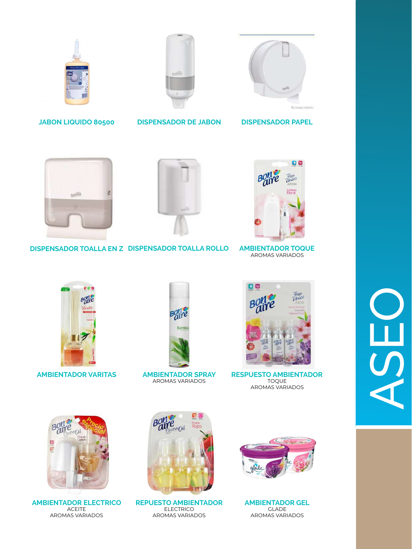





**JABON LIQUIDO 80500 DISPENSADOR DE JABON DISPENSADOR PAPEL**



**DISPENSADOR TOALLA EN Z DISPENSADOR TOALLA ROLLO AMBIENTADOR TOQUE**



AROMAS VARIADOS



**AMBIENTADOR VARITAS AMBIENTADOR SPRAY**



AROMAS VARIADOS



**RESPUESTO AMBIENTADOR** TOQUE AROMAS VARIADOS



**AMBIENTADOR ELECTRICO** ACEITE AROMAS VARIADOS



**REPUESTO AMBIENTADOR** ELECTRICO AROMAS VARIADOS





O<br>ASEO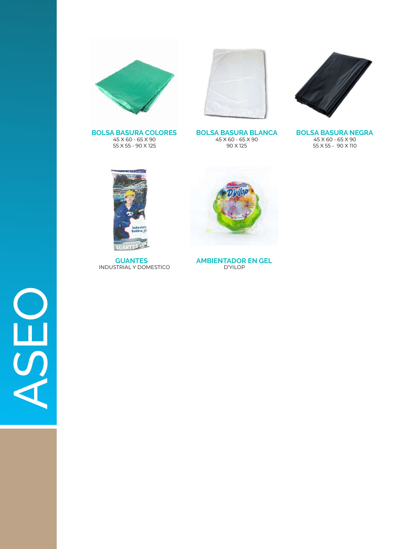





**BOLSA BASURA COLORES** 45 X 60 - 65 X 90 55 X 55 - 90 X 125

**BOLSA BASURA BLANCA** 45 X 60 - 65 X 90 90 X 125

**BOLSA BASURA NEGRA** 45 X 60 - 65 X 90 55 X 55 - 90 X 110



**GUANTES** INDUSTRIAL Y DOMESTICO



**AMBIENTADOR EN GEL** D'YILOP